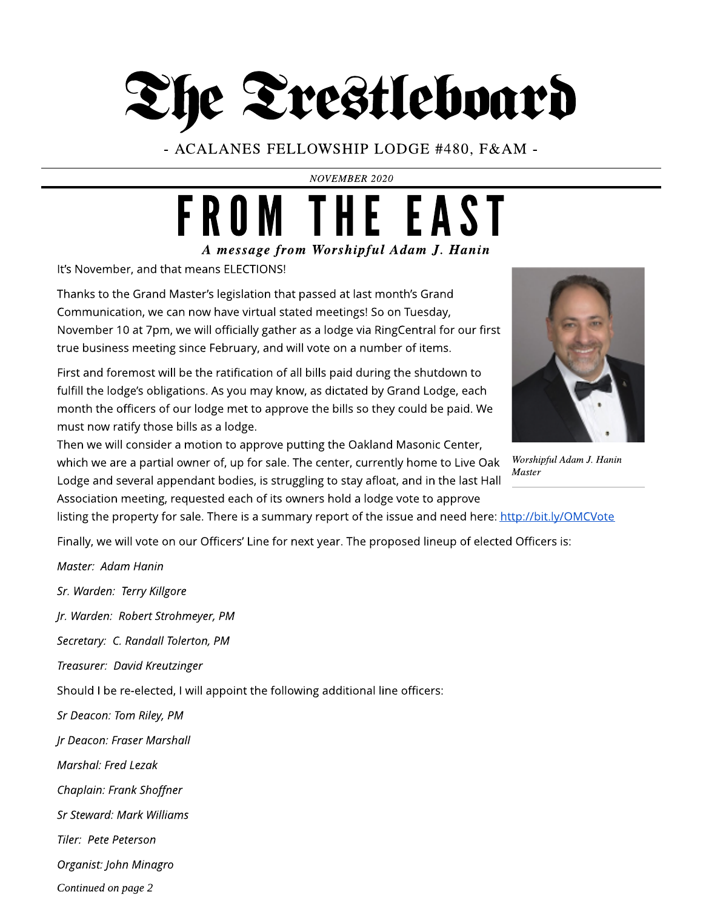# The Trestleboard

- ACALANES FELLOWSHIP LODGE #480, F& AM -

**NOVEMBER 2020**

## **A message from Worshipful Adam J. Hanin** FROM THE EAST

It's November, and that means ELECTIONS!

Thanks to the Grand Master's legislation that passed at last month's Grand Communication, we can now have virtual stated meetings! So on Tuesday, November 10 at 7pm, we will officially gather as a lodge via RingCentral for our first true business meeting since February, and will vote on a number of items.

First and foremost will be the ratification of all bills paid during the shutdown to fulfill the lodge's obligations. As you may know, as dictated by Grand Lodge, each month the officers of our lodge met to approve the bills so they could be paid. We must now ratify those bills as a lodge.



Then we will consider a motion to approve putting the Oakland Masonic Center, which we are a partial owner of, up for sale. The center, currently home to Live Oak Lodge and several appendant bodies, is struggling to stay afloat, and in the last Hall Association meeting, requested each of its owners hold a lodge vote to approve

listing the property for sale. There is a summary report of the issue and need here: <http://bit.ly/OMCVote>

Finally, we will vote on our Officers' Line for next year. The proposed lineup of elected Officers is:

**Master: Adam Hanin**

**Sr. Warden: Terry Killgore**

**Jr. Warden: Robert Strohmeyer, PM**

**Secretary: C. Randall Tolerton, PM**

**Treasurer: David Kreutzinger**

Should I be re-elected, I will appoint the following additional line officers:

**Sr Deacon: Tom Riley, PM**

**Jr Deacon: Fraser Marshall**

**Marshal: Fred Lezak**

**Chaplain: Frank Shoffner**

**Sr Steward: Mark Williams**

**Tiler: Pete Peterson**

**Organist:John Minagro**

**Continued on page 2**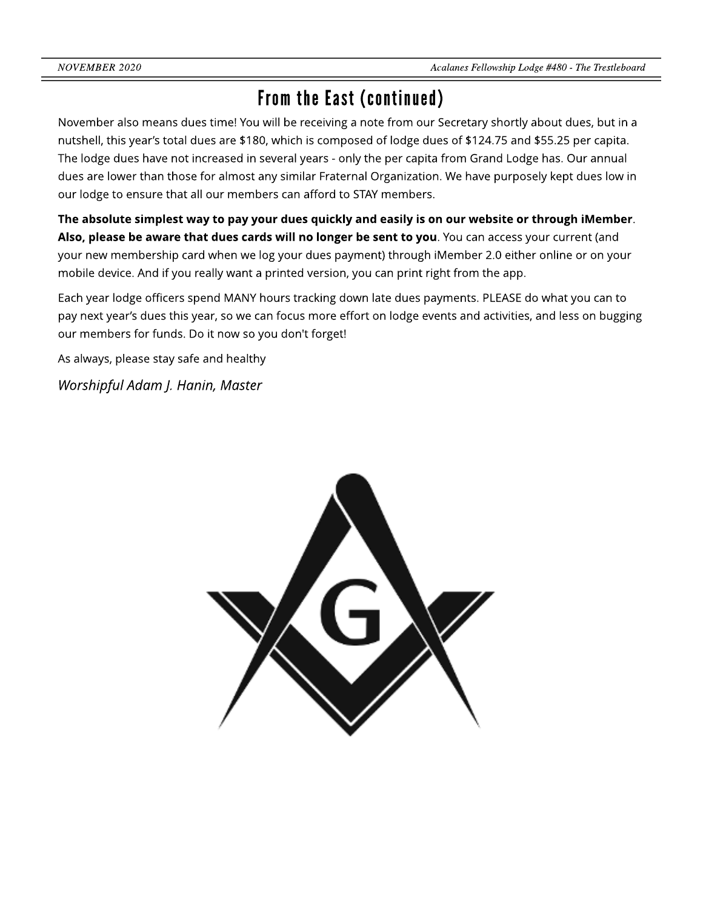### From the East (continued)

November also means dues time! You will be receiving a note from our Secretary shortly about dues, but in a nutshell, this year?s total dues are \$180, which is composed of lodge dues of \$124.75 and \$55.25 per capita. The lodge dues have not increased in several years - only the per capita from Grand Lodge has. Our annual dues are lower than those for almost any similar Fraternal Organization. We have purposely kept dues low in our lodge to ensure that all our members can afford to STAY members.

The absolute simplest way to pay your dues quickly and easily is on our website or through iMember. Also, please be aware that dues cards will no longer be sent to you. You can access your current (and your new membership card when we log your dues payment) through iMember 2.0 either online or on your mobile device. And if you really want a printed version, you can print right from the app.

Each year lodge officers spend MANY hours tracking down late dues payments. PLEASE do what you can to pay next year's dues this year, so we can focus more effort on lodge events and activities, and less on bugging our members for funds. Do it now so you don't forget!

As always, please stay safe and healthy

**Worshipful Adam J. Hanin, Master**

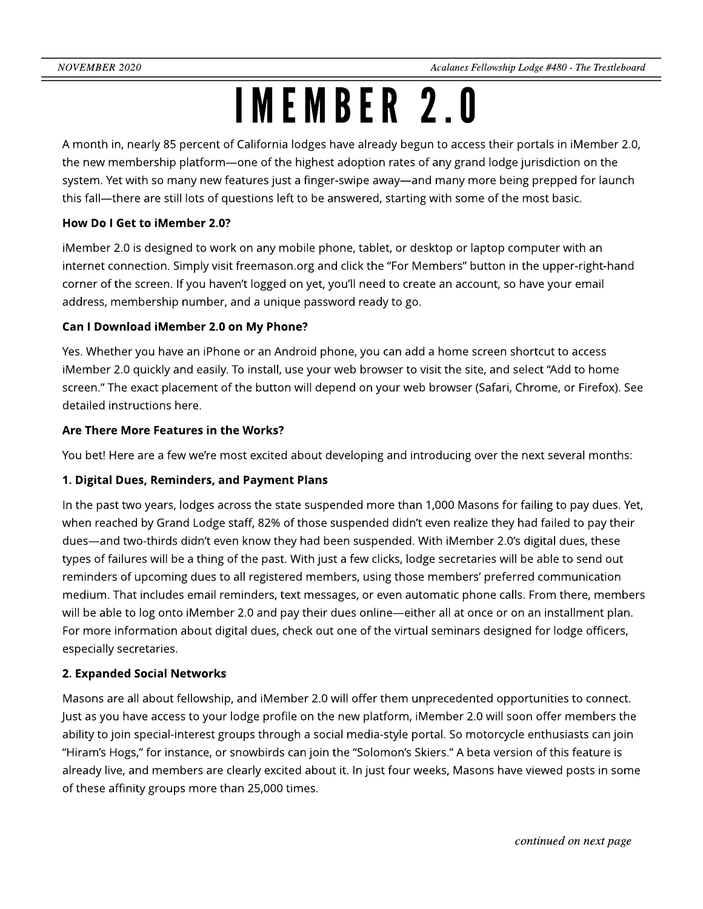## IMEMBER2.0

A month in, nearly 85 percent of California lodges have already begun to access their portals in iMember 2.0, the new membership platform—one of the highest adoption rates of any grand lodge jurisdiction on the system. Yet with so many new features just a finger-swipe away—and many more being prepped for launch this fall—there are still lots of questions left to be answered, starting with some of the most basic.

### How Do I Get to iMember 2.0?

iMember 2.0 is designed to work on any mobile phone, tablet, or desktop or laptop computer with an internet connection. Simply visit [freemason.org](http://freemason.org) and click the "For Members" button in the upper-right-hand corner of the screen. If you haven?t logged on yet, you?ll need to create an account, so have your email address, membership number, and a unique password ready to go.

### Can I Download iMember 2.0 on My Phone?

Yes. Whether you have an iPhone or an Android phone, you can add a home screen shortcut to access iMember 2.0 quickly and easily. To install, use your web browser to visit the site, and select "Add to home screen." The exact placement of the button will depend on your web browser (Safari, Chrome, or Firefox). See detailed instructions here.

### Are There More Features in the Works?

You bet! Here are a few we're most excited about developing and introducing over the next several months:

### 1. Digital Dues, Reminders, and Payment Plans

In the past two years, lodges across the state suspended more than 1,000 Masons for failing to pay dues. Yet, when reached by Grand Lodge staff, 82% of those suspended didn't even realize they had failed to pay their dues—and two-thirds didn't even know they had been suspended. With iMember 2.0's digital dues, these types of failures will be a thing of the past. With just a few clicks, lodge secretaries will be able to send out reminders of upcoming dues to all registered members, using those members' preferred communication medium. That includes email reminders, text messages, or even automatic phone calls. From there, members will be able to log onto iMember 2.0 and pay their dues online—either all at once or on an installment plan. For more information about digital dues, check out one of the virtual seminars designed for lodge officers, especially secretaries.

### 2. Expanded Social Networks

Masons are all about fellowship, and iMember 2.0 will offer them unprecedented opportunities to connect. Just as you have access to your lodge profile on the new platform, iMember 2.0 will soon offer members the ability to join special-interest groups through a social media-style portal. So motorcycle enthusiasts can join "Hiram's Hogs," for instance, or snowbirds can join the "Solomon's Skiers." A beta version of this feature is already live, and members are clearly excited about it. In just four weeks, Masons have viewed posts in some of these affinity groups more than 25,000 times.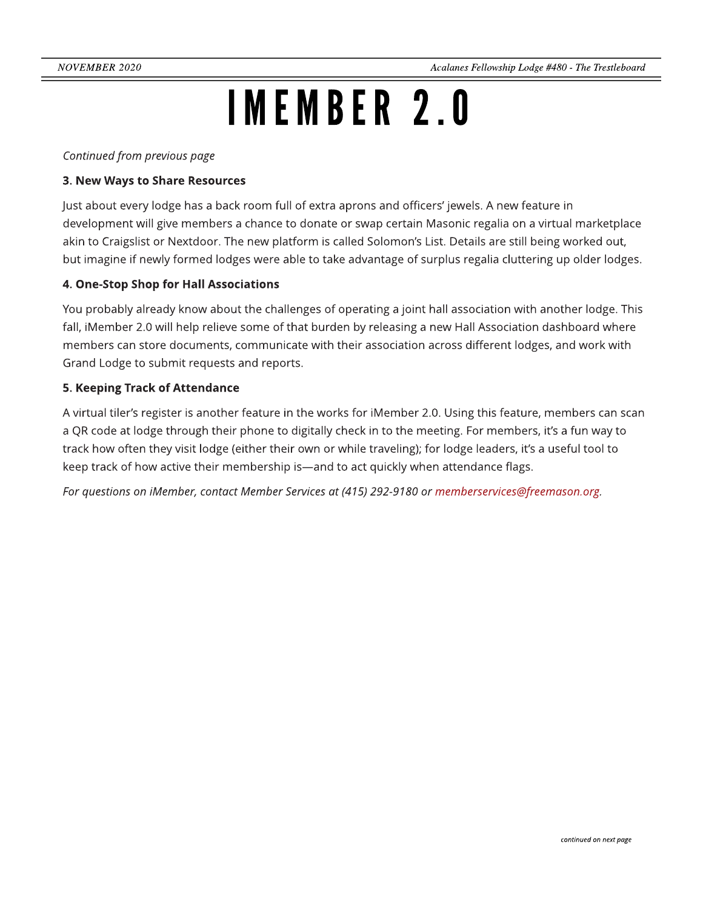## IMEMBER2.0

**Continued** from previous page

#### 3. New Ways to Share Resources

Just about every lodge has a back room full of extra aprons and officers' jewels. A new feature in development will give members a chance to donate or swap certain Masonic regalia on a virtual marketplace akin to Craigslist or Nextdoor. The new platform is called Solomon's List. Details are still being worked out, but imagine if newly formed lodges were able to take advantage of surplus regalia cluttering up older lodges.

### 4. One-Stop Shop for Hall Associations

You probably already know about the challenges of operating a joint hall association with another lodge. This fall, iMember 2.0 will help relieve some of that burden by releasing a new Hall Association dashboard where members can store documents, communicate with their association across different lodges, and work with Grand Lodge to submit requests and reports.

#### 5. Keeping Track of Attendance

A virtual tiler?s register is another feature in the works for iMember 2.0. Using this feature, members can scan a QR code at lodge through their phone to digitally check in to the meeting. For members, it's a fun way to track how often they visit lodge (either their own or while traveling); for lodge leaders, it's a useful tool to keep track of how active their membership is-and to act quickly when attendance flags.

**For questionson iMember, contact Member Servicesat (415) 292-9180 or memberservices@freemason.org.**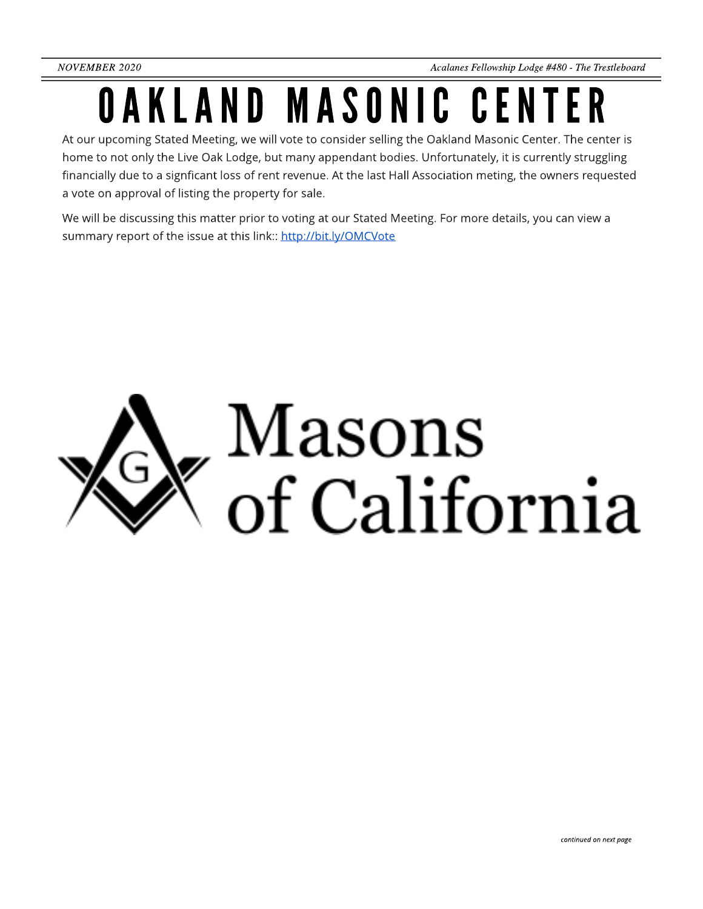# OAKLAND MASONIC CENTER

At our upcoming Stated Meeting, we will vote to consider selling the Oakland Masonic Center. The center is home to not only the Live Oak Lodge, but many appendant bodies. Unfortunately, it is currently struggling financially due to a signficant loss of rent revenue. At the last Hall Association meting, the owners requested a vote on approval of listing the property for sale.

We will be discussing this matter prior to voting at our Stated Meeting. For more details, you can view a summary report of the issue at this link:: <http://bit.ly/OMCVote>

# Masons  $\sigma$  of California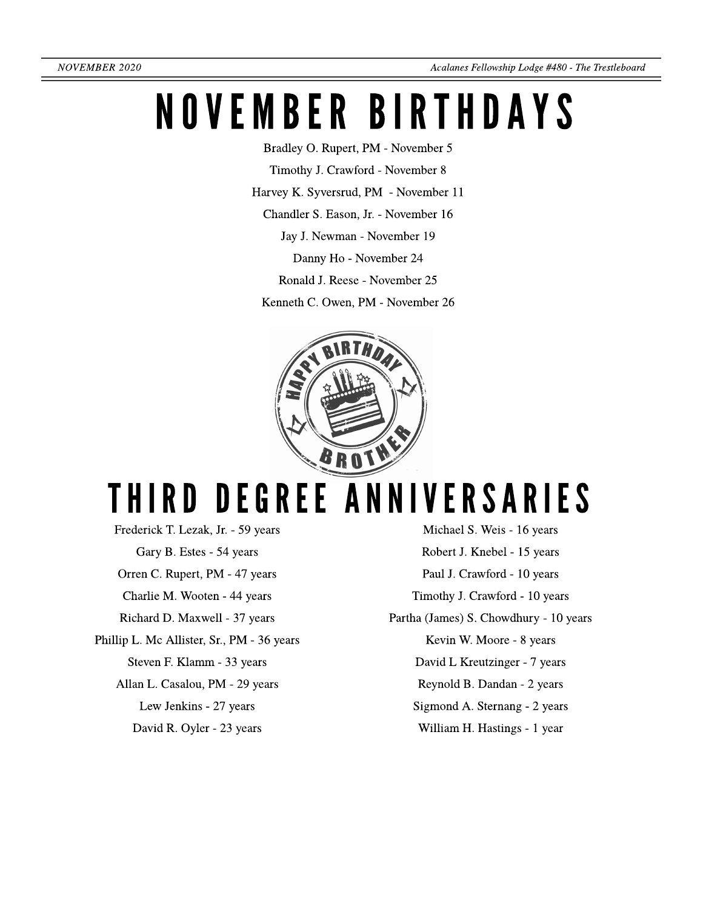## NOVEMBER BIRTHDAYS

Bradley O. Rupert, PM - November 5

Timothy J. Crawford - November 8

Harvey K. Syversrud, PM - November 11

Chandler S. Eason, Jr. - November 16

Jay J. Newman - November 19

Danny Ho - November 24

Ronald J. Reese- November 25

Kenneth C. Owen, PM - November 26



## THIRD DEGREE ANNIVERSARIES

Frederick T. Lezak, Jr. - 59 years Gary B. Estes - 54 years Orren C. Rupert, PM - 47 years CharlieM. Wooten - 44 years Richard D. Maxwell - 37 years Phillip L. Mc Allister, Sr., PM - 36 years Steven F. Klamm - 33 years Allan L. Casalou, PM - 29 years Lew Jenkins - 27 years David R. Oyler - 23 years

Michael S. Weis - 16 years Robert J. Knebel - 15 years Paul J. Crawford - 10 years Timothy J. Crawford - 10 years Partha (James) S. Chowdhury - 10 years Kevin W. Moore- 8 years David L Kreutzinger - 7 years Reynold B. Dandan - 2 years Sigmond A. Sternang - 2 years William H. Hastings - 1 year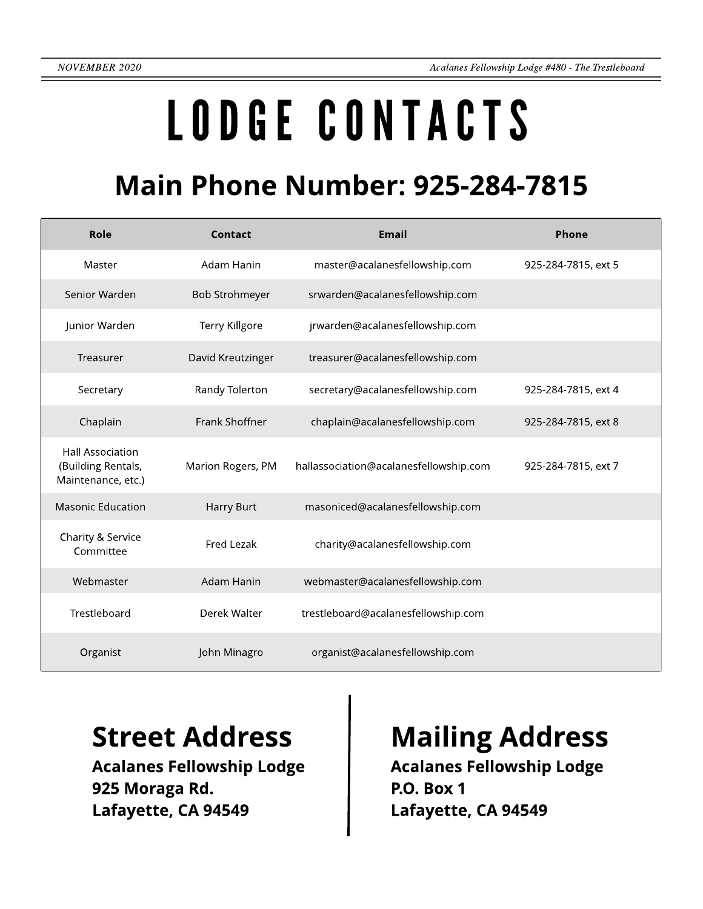# LODGECONTACTS

### **Main Phone Number: 925-284-7815**

| Role                                                                | Contact               | <b>Email</b>                           | Phone               |
|---------------------------------------------------------------------|-----------------------|----------------------------------------|---------------------|
| Master                                                              | Adam Hanin            | master@acalanesfellowship.com          | 925-284-7815, ext 5 |
| Senior Warden                                                       | <b>Bob Strohmeyer</b> | srwarden@acalanesfellowship.com        |                     |
| Junior Warden                                                       | Terry Killgore        | jrwarden@acalanesfellowship.com        |                     |
| Treasurer                                                           | David Kreutzinger     | treasurer@acalanesfellowship.com       |                     |
| Secretary                                                           | Randy Tolerton        | secretary@acalanesfellowship.com       | 925-284-7815, ext 4 |
| Chaplain                                                            | Frank Shoffner        | chaplain@acalanesfellowship.com        | 925-284-7815, ext 8 |
| <b>Hall Association</b><br>(Building Rentals,<br>Maintenance, etc.) | Marion Rogers, PM     | hallassociation@acalanesfellowship.com | 925-284-7815, ext 7 |
| <b>Masonic Education</b>                                            | Harry Burt            | masoniced@acalanesfellowship.com       |                     |
| Charity & Service<br>Committee                                      | Fred Lezak            | charity@acalanesfellowship.com         |                     |
| Webmaster                                                           | Adam Hanin            | webmaster@acalanesfellowship.com       |                     |
| Trestleboard                                                        | Derek Walter          | trestleboard@acalanesfellowship.com    |                     |
| Organist                                                            | John Minagro          | organist@acalanesfellowship.com        |                     |

Acalanes Fellowship Lodge 925 Moraga Rd. Lafayette, CA 94549

### Street Address | Mailing Address

Acalanes Fellowship Lodge P.O. Box 1 Lafayette, CA 94549